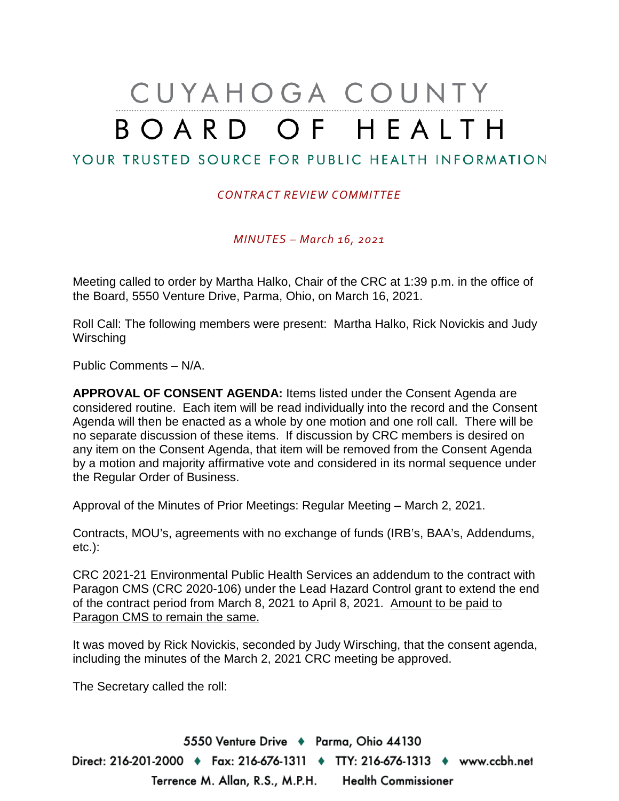# CUYAHOGA COUNTY BOARD OF HEALTH

## YOUR TRUSTED SOURCE FOR PUBLIC HEALTH INFORMATION

#### *CONTRACT REVIEW COMMITTEE*

*MINUTES – March 16, 2021*

Meeting called to order by Martha Halko, Chair of the CRC at 1:39 p.m. in the office of the Board, 5550 Venture Drive, Parma, Ohio, on March 16, 2021.

Roll Call: The following members were present: Martha Halko, Rick Novickis and Judy Wirsching

Public Comments – N/A.

**APPROVAL OF CONSENT AGENDA:** Items listed under the Consent Agenda are considered routine. Each item will be read individually into the record and the Consent Agenda will then be enacted as a whole by one motion and one roll call. There will be no separate discussion of these items. If discussion by CRC members is desired on any item on the Consent Agenda, that item will be removed from the Consent Agenda by a motion and majority affirmative vote and considered in its normal sequence under the Regular Order of Business.

Approval of the Minutes of Prior Meetings: Regular Meeting – March 2, 2021.

Contracts, MOU's, agreements with no exchange of funds (IRB's, BAA's, Addendums, etc.):

CRC 2021-21 Environmental Public Health Services an addendum to the contract with Paragon CMS (CRC 2020-106) under the Lead Hazard Control grant to extend the end of the contract period from March 8, 2021 to April 8, 2021. Amount to be paid to Paragon CMS to remain the same.

It was moved by Rick Novickis, seconded by Judy Wirsching, that the consent agenda, including the minutes of the March 2, 2021 CRC meeting be approved.

The Secretary called the roll:

5550 Venture Drive + Parma, Ohio 44130 Direct: 216-201-2000 ♦ Fax: 216-676-1311 ♦ TTY: 216-676-1313 ♦ www.ccbh.net Terrence M. Allan, R.S., M.P.H. Health Commissioner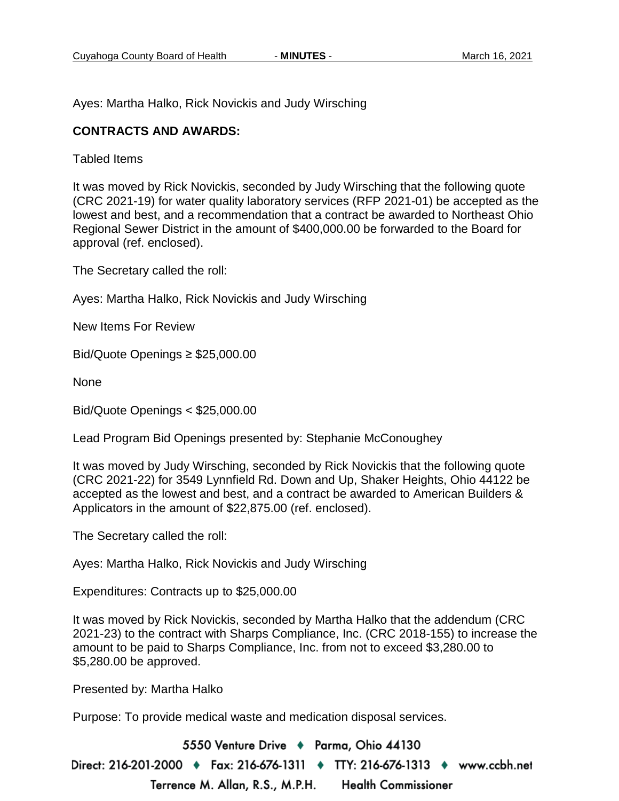Ayes: Martha Halko, Rick Novickis and Judy Wirsching

#### **CONTRACTS AND AWARDS:**

Tabled Items

It was moved by Rick Novickis, seconded by Judy Wirsching that the following quote (CRC 2021-19) for water quality laboratory services (RFP 2021-01) be accepted as the lowest and best, and a recommendation that a contract be awarded to Northeast Ohio Regional Sewer District in the amount of \$400,000.00 be forwarded to the Board for approval (ref. enclosed).

The Secretary called the roll:

Ayes: Martha Halko, Rick Novickis and Judy Wirsching

New Items For Review

Bid/Quote Openings ≥ \$25,000.00

None

Bid/Quote Openings < \$25,000.00

Lead Program Bid Openings presented by: Stephanie McConoughey

It was moved by Judy Wirsching, seconded by Rick Novickis that the following quote (CRC 2021-22) for 3549 Lynnfield Rd. Down and Up, Shaker Heights, Ohio 44122 be accepted as the lowest and best, and a contract be awarded to American Builders & Applicators in the amount of \$22,875.00 (ref. enclosed).

The Secretary called the roll:

Ayes: Martha Halko, Rick Novickis and Judy Wirsching

Expenditures: Contracts up to \$25,000.00

It was moved by Rick Novickis, seconded by Martha Halko that the addendum (CRC 2021-23) to the contract with Sharps Compliance, Inc. (CRC 2018-155) to increase the amount to be paid to Sharps Compliance, Inc. from not to exceed \$3,280.00 to \$5,280.00 be approved.

Presented by: Martha Halko

Purpose: To provide medical waste and medication disposal services.

5550 Venture Drive + Parma, Ohio 44130 Direct: 216-201-2000 ♦ Fax: 216-676-1311 ♦ TTY: 216-676-1313 ♦ www.ccbh.net Terrence M. Allan, R.S., M.P.H. **Health Commissioner**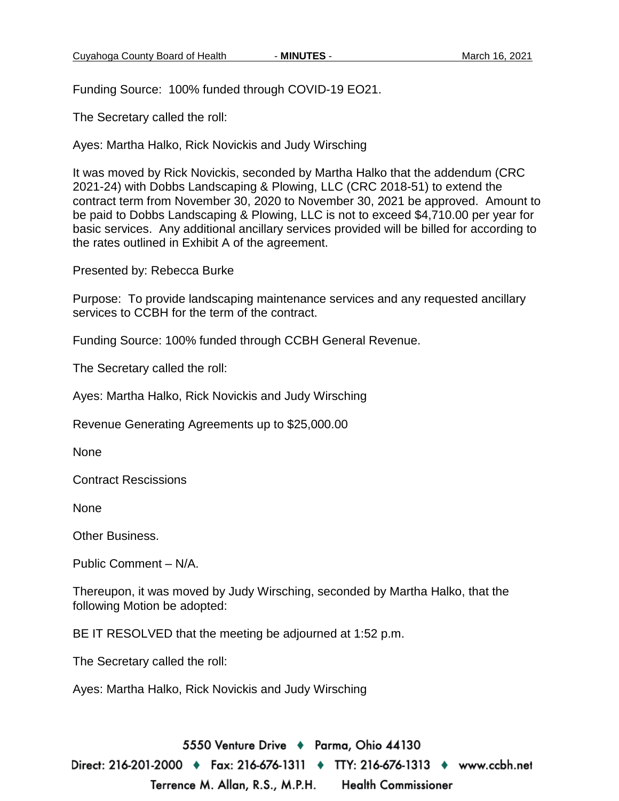Funding Source: 100% funded through COVID-19 EO21.

The Secretary called the roll:

Ayes: Martha Halko, Rick Novickis and Judy Wirsching

It was moved by Rick Novickis, seconded by Martha Halko that the addendum (CRC 2021-24) with Dobbs Landscaping & Plowing, LLC (CRC 2018-51) to extend the contract term from November 30, 2020 to November 30, 2021 be approved. Amount to be paid to Dobbs Landscaping & Plowing, LLC is not to exceed \$4,710.00 per year for basic services. Any additional ancillary services provided will be billed for according to the rates outlined in Exhibit A of the agreement.

Presented by: Rebecca Burke

Purpose: To provide landscaping maintenance services and any requested ancillary services to CCBH for the term of the contract.

Funding Source: 100% funded through CCBH General Revenue.

The Secretary called the roll:

Ayes: Martha Halko, Rick Novickis and Judy Wirsching

Revenue Generating Agreements up to \$25,000.00

None

Contract Rescissions

None

Other Business.

Public Comment – N/A.

Thereupon, it was moved by Judy Wirsching, seconded by Martha Halko, that the following Motion be adopted:

BE IT RESOLVED that the meeting be adjourned at 1:52 p.m.

The Secretary called the roll:

Ayes: Martha Halko, Rick Novickis and Judy Wirsching

5550 Venture Drive + Parma, Ohio 44130 Direct: 216-201-2000 ♦ Fax: 216-676-1311 ♦ TTY: 216-676-1313 ♦ www.ccbh.net Terrence M. Allan, R.S., M.P.H. **Health Commissioner**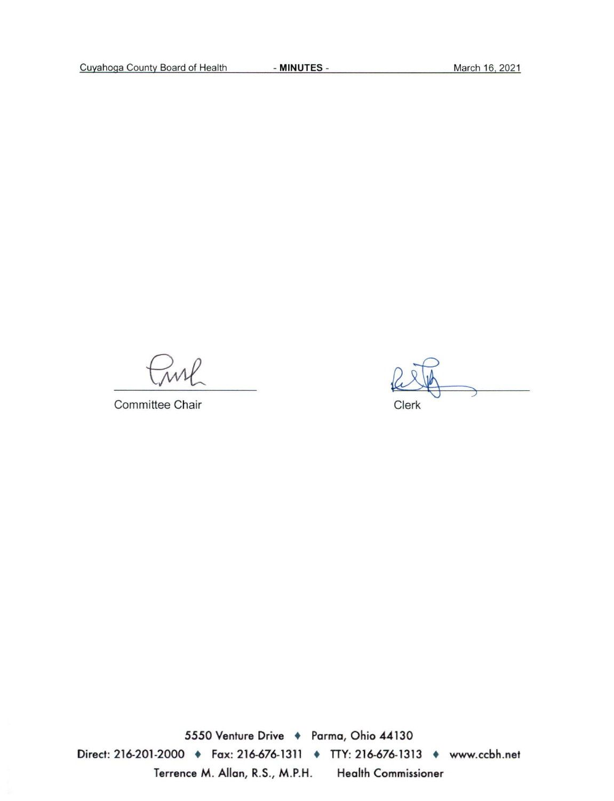Committee Chair

Clerk

5550 Venture Drive + Parma, Ohio 44130 Direct: 216-201-2000 + Fax: 216-676-1311 + TTY: 216-676-1313 + www.ccbh.net Terrence M. Allan, R.S., M.P.H. **Health Commissioner**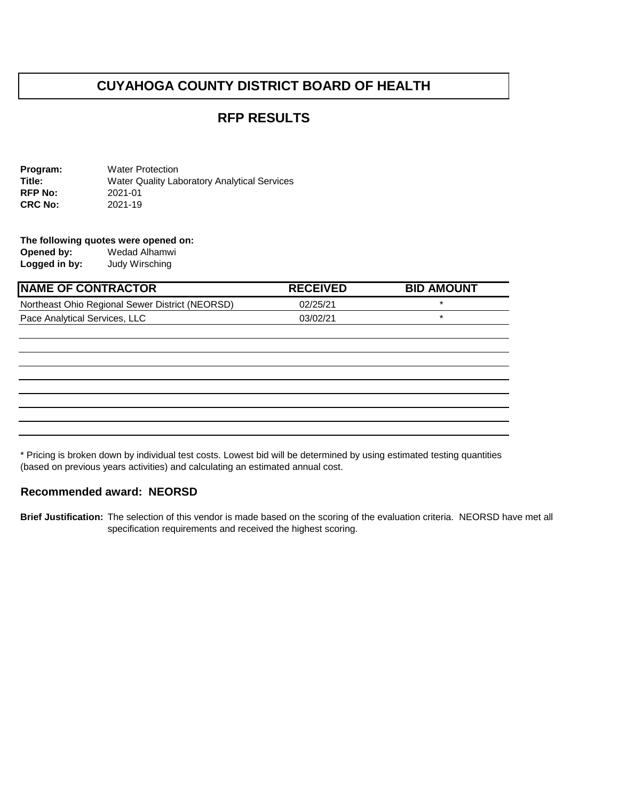## **CUYAHOGA COUNTY DISTRICT BOARD OF HEALTH**

## **RFP RESULTS**

**Program:** Water Protection **Title:** Water Quality Laboratory Analytical Services **RFP No:** 2021-01<br>**CRC No:** 2021-19 **CRC No:** 

**The following quotes were opened on: Opened by:** Wedad Alhamwi<br> **Logged in by:** Judy Wirsching **Logged in by:** Judy Wirsching

| <b>INAME OF CONTRACTOR</b>                      | <b>RECEIVED</b> | <b>BID AMOUNT</b> |
|-------------------------------------------------|-----------------|-------------------|
| Northeast Ohio Regional Sewer District (NEORSD) | 02/25/21        |                   |
| Pace Analytical Services, LLC                   | 03/02/21        |                   |

\* Pricing is broken down by individual test costs. Lowest bid will be determined by using estimated testing quantities (based on previous years activities) and calculating an estimated annual cost.

#### **Recommended award: NEORSD**

**Brief Justification:** The selection of this vendor is made based on the scoring of the evaluation criteria. NEORSD have met all specification requirements and received the highest scoring.